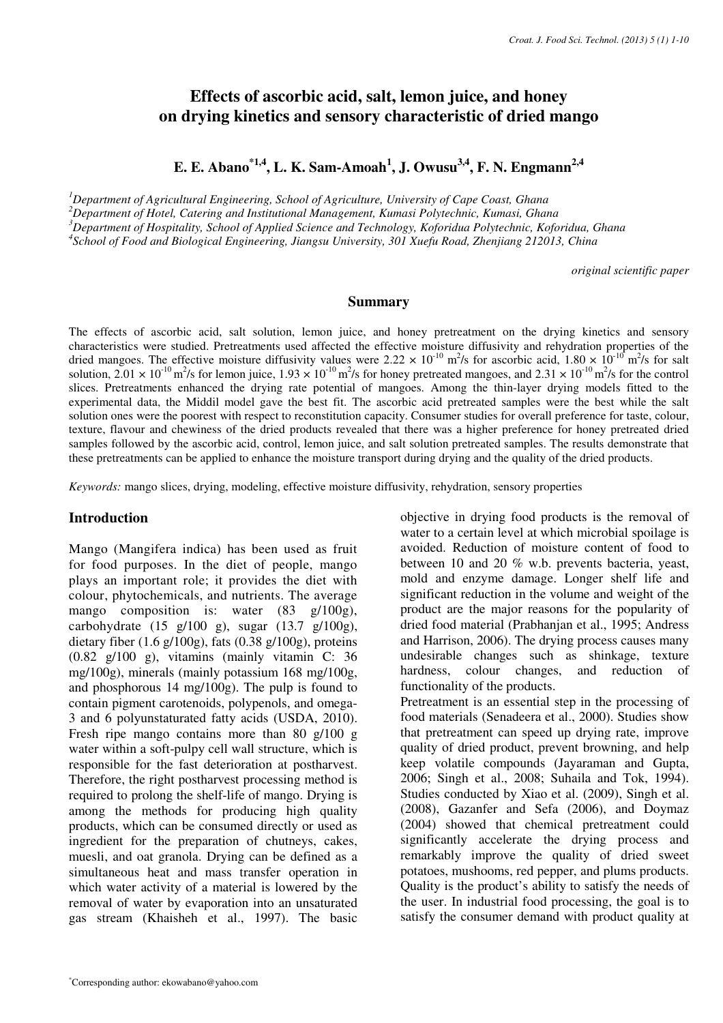# **Effects of ascorbic acid, salt, lemon juice, and honey on drying kinetics and sensory characteristic of dried mango**

**E. E. Abano\*1,4, L. K. Sam-Amoah<sup>1</sup> , J. Owusu3,4, F. N. Engmann2,4**

*<sup>1</sup>Department of Agricultural Engineering, School of Agriculture, University of Cape Coast, Ghana <sup>2</sup>Department of Hotel, Catering and Institutional Management, Kumasi Polytechnic, Kumasi, Ghana <sup>3</sup>Department of Hospitality, School of Applied Science and Technology, Koforidua Polytechnic, Koforidua, Ghana* 

*4 School of Food and Biological Engineering, Jiangsu University, 301 Xuefu Road, Zhenjiang 212013, China*

*original scientific paper*

### **Summary**

The effects of ascorbic acid, salt solution, lemon juice, and honey pretreatment on the drying kinetics and sensory characteristics were studied. Pretreatments used affected the effective moisture diffusivity and rehydration properties of the dried mangoes. The effective moisture diffusivity values were  $2.22 \times 10^{-10}$  m<sup>2</sup>/s for ascorbic acid,  $1.80 \times 10^{-10}$  m<sup>2</sup>/s for salt solution,  $2.01 \times 10^{-10}$  m<sup>2</sup>/s for lemon juice,  $1.93 \times 10^{-10}$  m<sup>2</sup>/s for honey pretreated mangoes, and  $2.31 \times 10^{-10}$  m<sup>2</sup>/s for the control slices. Pretreatments enhanced the drying rate potential of mangoes. Among the thin-layer drying models fitted to the experimental data, the Middil model gave the best fit. The ascorbic acid pretreated samples were the best while the salt solution ones were the poorest with respect to reconstitution capacity. Consumer studies for overall preference for taste, colour, texture, flavour and chewiness of the dried products revealed that there was a higher preference for honey pretreated dried samples followed by the ascorbic acid, control, lemon juice, and salt solution pretreated samples. The results demonstrate that these pretreatments can be applied to enhance the moisture transport during drying and the quality of the dried products.

*Keywords:* mango slices, drying, modeling, effective moisture diffusivity, rehydration, sensory properties

#### **Introduction**

Mango (Mangifera indica) has been used as fruit for food purposes. In the diet of people, mango plays an important role; it provides the diet with colour, phytochemicals, and nutrients. The average mango composition is: water (83 g/100g), carbohydrate (15 g/100 g), sugar (13.7 g/100g), dietary fiber  $(1.6 \text{ g}/100 \text{ g})$ , fats  $(0.38 \text{ g}/100 \text{ g})$ , proteins (0.82 g/100 g), vitamins (mainly vitamin C: 36 mg/100g), minerals (mainly potassium 168 mg/100g, and phosphorous 14 mg/100g). The pulp is found to contain pigment carotenoids, polypenols, and omega-3 and 6 polyunstaturated fatty acids (USDA, 2010). Fresh ripe mango contains more than 80 g/100 g water within a soft-pulpy cell wall structure, which is responsible for the fast deterioration at postharvest. Therefore, the right postharvest processing method is required to prolong the shelf-life of mango. Drying is among the methods for producing high quality products, which can be consumed directly or used as ingredient for the preparation of chutneys, cakes, muesli, and oat granola. Drying can be defined as a simultaneous heat and mass transfer operation in which water activity of a material is lowered by the removal of water by evaporation into an unsaturated gas stream (Khaisheh et al., 1997). The basic objective in drying food products is the removal of water to a certain level at which microbial spoilage is avoided. Reduction of moisture content of food to between 10 and 20 % w.b. prevents bacteria, yeast, mold and enzyme damage. Longer shelf life and significant reduction in the volume and weight of the product are the major reasons for the popularity of dried food material (Prabhanjan et al., 1995; Andress and Harrison, 2006). The drying process causes many undesirable changes such as shinkage, texture hardness, colour changes, and reduction of functionality of the products.

Pretreatment is an essential step in the processing of food materials (Senadeera et al., 2000). Studies show that pretreatment can speed up drying rate, improve quality of dried product, prevent browning, and help keep volatile compounds (Jayaraman and Gupta, 2006; Singh et al., 2008; Suhaila and Tok, 1994). Studies conducted by Xiao et al. (2009), Singh et al. (2008), Gazanfer and Sefa (2006), and Doymaz (2004) showed that chemical pretreatment could significantly accelerate the drying process and remarkably improve the quality of dried sweet potatoes, mushooms, red pepper, and plums products. Quality is the product's ability to satisfy the needs of the user. In industrial food processing, the goal is to satisfy the consumer demand with product quality at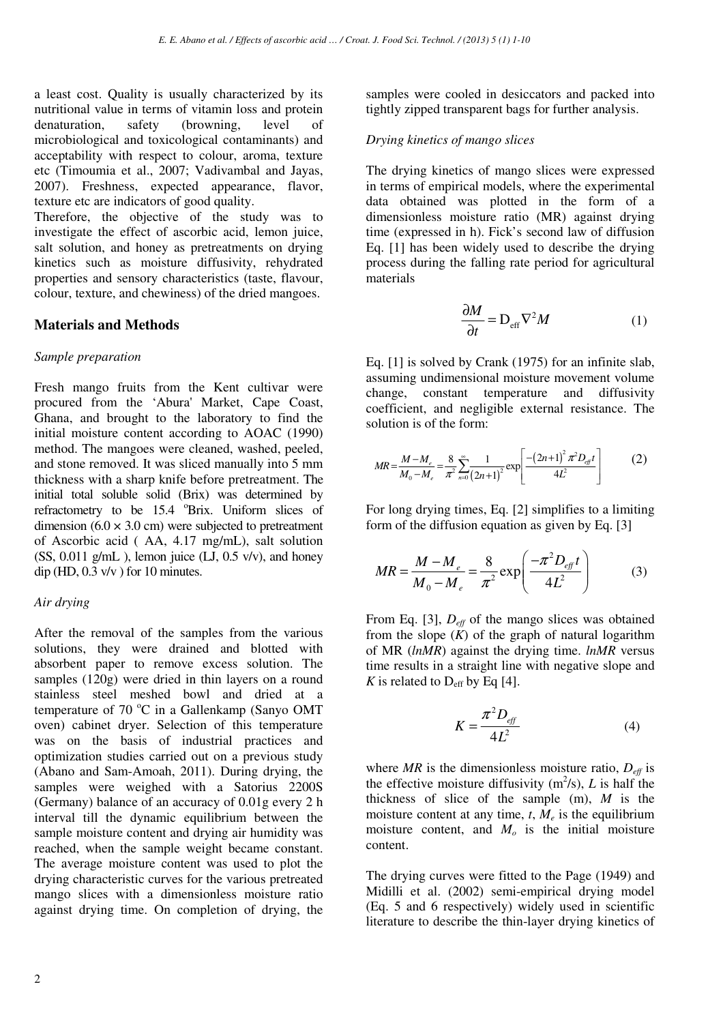a least cost. Quality is usually characterized by its nutritional value in terms of vitamin loss and protein denaturation, safety (browning, level of microbiological and toxicological contaminants) and acceptability with respect to colour, aroma, texture etc (Timoumia et al., 2007; Vadivambal and Jayas, 2007). Freshness, expected appearance, flavor, texture etc are indicators of good quality.

Therefore, the objective of the study was to investigate the effect of ascorbic acid, lemon juice, salt solution, and honey as pretreatments on drying kinetics such as moisture diffusivity, rehydrated properties and sensory characteristics (taste, flavour, colour, texture, and chewiness) of the dried mangoes.

## **Materials and Methods**

### *Sample preparation*

Fresh mango fruits from the Kent cultivar were procured from the 'Abura' Market, Cape Coast, Ghana, and brought to the laboratory to find the initial moisture content according to AOAC (1990) method. The mangoes were cleaned, washed, peeled, and stone removed. It was sliced manually into 5 mm thickness with a sharp knife before pretreatment. The initial total soluble solid (Brix) was determined by refractometry to be 15.4 °Brix. Uniform slices of dimension  $(6.0 \times 3.0 \text{ cm})$  were subjected to pretreatment of Ascorbic acid ( AA, 4.17 mg/mL), salt solution  $(SS, 0.011 g/mL)$ , lemon juice  $(LJ, 0.5 v/v)$ , and honey dip (HD,  $0.3 \text{ v/v}$ ) for 10 minutes.

## *Air drying*

After the removal of the samples from the various solutions, they were drained and blotted with absorbent paper to remove excess solution. The samples (120g) were dried in thin layers on a round stainless steel meshed bowl and dried at a temperature of 70  $^{\circ}$ C in a Gallenkamp (Sanyo OMT oven) cabinet dryer. Selection of this temperature was on the basis of industrial practices and optimization studies carried out on a previous study (Abano and Sam-Amoah, 2011). During drying, the samples were weighed with a Satorius 2200S (Germany) balance of an accuracy of 0.01g every 2 h interval till the dynamic equilibrium between the sample moisture content and drying air humidity was reached, when the sample weight became constant. The average moisture content was used to plot the drying characteristic curves for the various pretreated mango slices with a dimensionless moisture ratio against drying time. On completion of drying, the

samples were cooled in desiccators and packed into tightly zipped transparent bags for further analysis.

## *Drying kinetics of mango slices*

The drying kinetics of mango slices were expressed in terms of empirical models, where the experimental data obtained was plotted in the form of a dimensionless moisture ratio (MR) against drying time (expressed in h). Fick's second law of diffusion Eq. [1] has been widely used to describe the drying process during the falling rate period for agricultural materials

$$
\frac{\partial M}{\partial t} = D_{\rm eff} \nabla^2 M \tag{1}
$$

Eq. [1] is solved by Crank (1975) for an infinite slab, assuming undimensional moisture movement volume change, constant temperature and diffusivity coefficient, and negligible external resistance. The solution is of the form:

$$
MR = \frac{M - M_e}{M_0 - M_e} = \frac{8}{\pi^2} \sum_{n=0}^{\infty} \frac{1}{(2n+1)^2} \exp\left[\frac{-\left(2n+1\right)^2 \pi^2 D_{\text{eff}} t}{4L^2}\right] \tag{2}
$$

For long drying times, Eq. [2] simplifies to a limiting form of the diffusion equation as given by Eq. [3]

$$
MR = \frac{M - M_e}{M_0 - M_e} = \frac{8}{\pi^2} \exp\left(\frac{-\pi^2 D_{\text{eff}} t}{4L^2}\right) \tag{3}
$$

From Eq. [3], *Deff* of the mango slices was obtained from the slope  $(K)$  of the graph of natural logarithm of MR (*lnMR*) against the drying time. *lnMR* versus time results in a straight line with negative slope and *K* is related to  $D_{\text{eff}}$  by Eq [4].

$$
K = \frac{\pi^2 D_{\text{eff}}}{4L^2} \tag{4}
$$

where  $MR$  is the dimensionless moisture ratio,  $D_{\text{eff}}$  is the effective moisture diffusivity  $(m^2/s)$ , *L* is half the thickness of slice of the sample (m), *M* is the moisture content at any time,  $t$ ,  $M_e$  is the equilibrium moisture content, and *Mo* is the initial moisture content.

The drying curves were fitted to the Page (1949) and Midilli et al. (2002) semi-empirical drying model (Eq. 5 and 6 respectively) widely used in scientific literature to describe the thin-layer drying kinetics of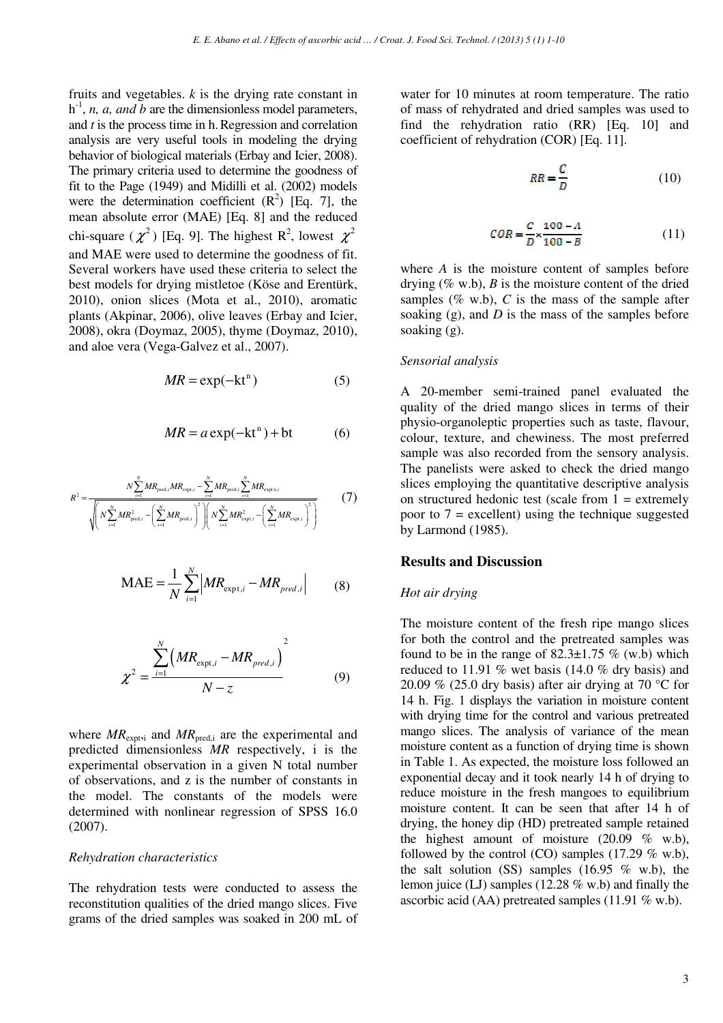fruits and vegetables. *k* is the drying rate constant in  $h^{-1}$ , *n*, *a*, *and b* are the dimensionless model parameters, and *t* is the process time in h.Regression and correlation analysis are very useful tools in modeling the drying behavior of biological materials (Erbay and Icier, 2008). The primary criteria used to determine the goodness of fit to the Page (1949) and Midilli et al. (2002) models were the determination coefficient  $(R^2)$  [Eq. 7], the mean absolute error (MAE) [Eq. 8] and the reduced chi-square  $(\chi^2)$  [Eq. 9]. The highest R<sup>2</sup>, lowest  $\chi^2$ and MAE were used to determine the goodness of fit. Several workers have used these criteria to select the best models for drying mistletoe (Köse and Erentürk, 2010), onion slices (Mota et al., 2010), aromatic plants (Akpinar, 2006), olive leaves (Erbay and Icier, 2008), okra (Doymaz, 2005), thyme (Doymaz, 2010), and aloe vera (Vega-Galvez et al., 2007).

$$
MR = \exp(-kt^n) \tag{5}
$$

$$
MR = a \exp(-kt^{n}) + bt
$$
 (6)

$$
R^{2} = \frac{N \sum_{i=1}^{N} M R_{\text{pred},i} M R_{\text{expt},i} - \sum_{i=1}^{N} M R_{\text{pred},i} \sum_{i=1}^{N} M R_{\text{expt},i}}{\sqrt{\left(N \sum_{i=1}^{N} M R_{\text{pred},i}^{2} - \left(\sum_{i=1}^{N} M R_{\text{pred},i}\right)^{2}\right)\left(N \sum_{i=1}^{N} M R_{\text{expt},i}^{2} - \left(\sum_{i=1}^{N} M R_{\text{expt},i}\right)^{2}\right)}}
$$
(7)

$$
\text{MAE} = \frac{1}{N} \sum_{i=1}^{N} \left| MR_{\text{expt},i} - MR_{\text{pred},i} \right| \tag{8}
$$

$$
\chi^2 = \frac{\sum_{i=1}^{N} \left( MR_{\text{expt},i} - MR_{\text{pred},i} \right)^2}{N - z}
$$
(9)

where  $MR_{\text{expti}}$  and  $MR_{\text{pred,i}}$  are the experimental and predicted dimensionless *MR* respectively, i is the experimental observation in a given N total number of observations, and z is the number of constants in the model. The constants of the models were determined with nonlinear regression of SPSS 16.0 (2007).

#### *Rehydration characteristics*

The rehydration tests were conducted to assess the reconstitution qualities of the dried mango slices. Five grams of the dried samples was soaked in 200 mL of water for 10 minutes at room temperature. The ratio of mass of rehydrated and dried samples was used to find the rehydration ratio (RR) [Eq. 10] and coefficient of rehydration (COR) [Eq. 11].

$$
RR = \frac{C}{D} \tag{10}
$$

$$
COR = \frac{C}{D} \times \frac{100 - A}{100 - B} \tag{11}
$$

where *A* is the moisture content of samples before drying  $(\% \text{ w.b})$ , *B* is the moisture content of the dried samples ( $\%$  w.b),  $C$  is the mass of the sample after soaking (g), and *D* is the mass of the samples before soaking (g).

#### *Sensorial analysis*

A 20-member semi-trained panel evaluated the quality of the dried mango slices in terms of their physio-organoleptic properties such as taste, flavour, colour, texture, and chewiness. The most preferred sample was also recorded from the sensory analysis. The panelists were asked to check the dried mango slices employing the quantitative descriptive analysis on structured hedonic test (scale from  $1 =$  extremely poor to  $7$  = excellent) using the technique suggested by Larmond (1985).

#### **Results and Discussion**

#### *Hot air drying*

The moisture content of the fresh ripe mango slices for both the control and the pretreated samples was found to be in the range of  $82.3 \pm 1.75$  % (w.b) which reduced to 11.91 % wet basis (14.0 % dry basis) and 20.09 % (25.0 dry basis) after air drying at 70 °C for 14 h. Fig. 1 displays the variation in moisture content with drying time for the control and various pretreated mango slices. The analysis of variance of the mean moisture content as a function of drying time is shown in Table 1. As expected, the moisture loss followed an exponential decay and it took nearly 14 h of drying to reduce moisture in the fresh mangoes to equilibrium moisture content. It can be seen that after 14 h of drying, the honey dip (HD) pretreated sample retained the highest amount of moisture  $(20.09\%$  w.b), followed by the control (CO) samples (17.29  $\%$  w.b), the salt solution (SS) samples (16.95  $\%$  w.b), the lemon juice (LJ) samples (12.28 % w.b) and finally the ascorbic acid (AA) pretreated samples (11.91 % w.b).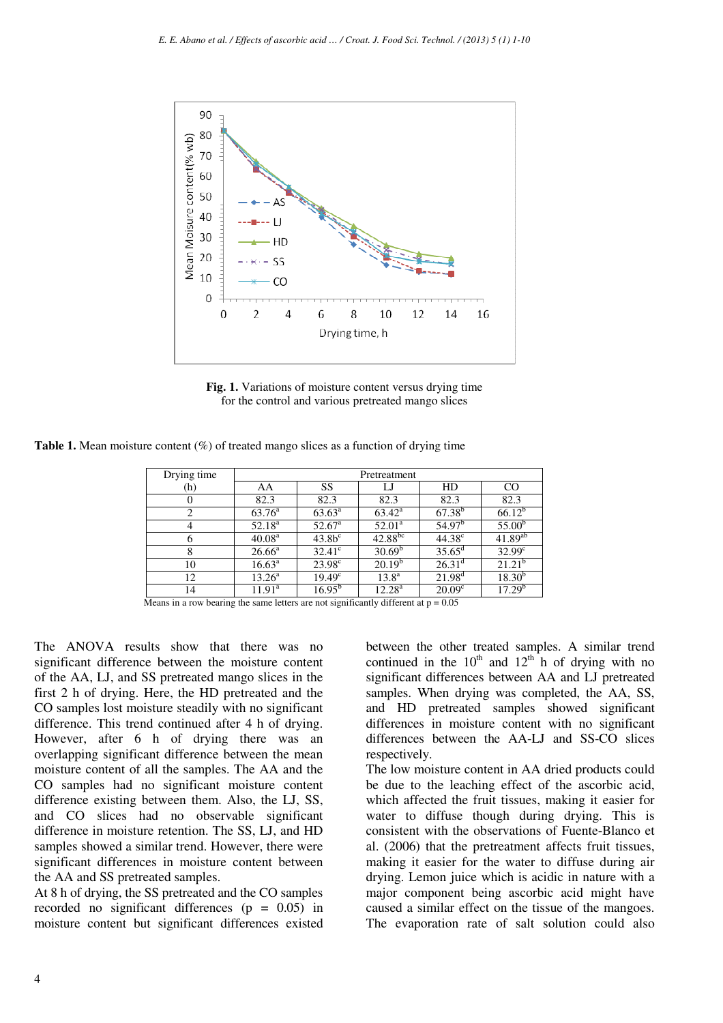

**Fig. 1.** Variations of moisture content versus drying time for the control and various pretreated mango slices

**Table 1.** Mean moisture content (%) of treated mango slices as a function of drying time

| Drying time | Pretreatment       |                 |                 |                    |                    |
|-------------|--------------------|-----------------|-----------------|--------------------|--------------------|
| (h)         | AA                 | SS              | LJ              | HD.                | CO                 |
| $\theta$    | 82.3               | 82.3            | 82.3            | 82.3               | 82.3               |
| 2           | $63.76^{\rm a}$    | $63.63^{\rm a}$ | $63.42^{\rm a}$ | $67.38^{b}$        | $66.12^{b}$        |
| 4           | $52.18^{\rm a}$    | $52.67^{\circ}$ | $52.01^a$       | 54.97 <sup>b</sup> | $55.00^{b}$        |
| 6           | 40.08 <sup>a</sup> | $43.8b^c$       | $42.88^{bc}$    | $44.38^{\circ}$    | $41.89^{ab}$       |
| 8           | $26.66^{\rm a}$    | $32.41^{\circ}$ | $30.69^b$       | $35.65^{\rm d}$    | $32.99^{\circ}$    |
| 10          | $16.63^{\circ}$    | $23.98^{\circ}$ | $20.19^{b}$     | $26.31^{\rm d}$    | $21.21^{b}$        |
| 12          | $13.26^{\rm a}$    | $19.49^{\circ}$ | $13.8^{\rm a}$  | $21.98^{\rm d}$    | $18.30^{b}$        |
| 14          | $11.91^a$          | $16.95^{b}$     | $12.28^{\rm a}$ | 20.09 <sup>c</sup> | 17.29 <sup>b</sup> |

Means in a row bearing the same letters are not significantly different at  $p = 0.05$ 

The ANOVA results show that there was no significant difference between the moisture content of the AA, LJ, and SS pretreated mango slices in the first 2 h of drying. Here, the HD pretreated and the CO samples lost moisture steadily with no significant difference. This trend continued after 4 h of drying. However, after 6 h of drying there was an overlapping significant difference between the mean moisture content of all the samples. The AA and the CO samples had no significant moisture content difference existing between them. Also, the LJ, SS, and CO slices had no observable significant difference in moisture retention. The SS, LJ, and HD samples showed a similar trend. However, there were significant differences in moisture content between the AA and SS pretreated samples.

At 8 h of drying, the SS pretreated and the CO samples recorded no significant differences  $(p = 0.05)$  in moisture content but significant differences existed between the other treated samples. A similar trend continued in the  $10^{th}$  and  $12^{th}$  h of drying with no significant differences between AA and LJ pretreated samples. When drying was completed, the AA, SS, and HD pretreated samples showed significant differences in moisture content with no significant differences between the AA-LJ and SS-CO slices respectively.

The low moisture content in AA dried products could be due to the leaching effect of the ascorbic acid, which affected the fruit tissues, making it easier for water to diffuse though during drying. This is consistent with the observations of Fuente-Blanco et al. (2006) that the pretreatment affects fruit tissues, making it easier for the water to diffuse during air drying. Lemon juice which is acidic in nature with a major component being ascorbic acid might have caused a similar effect on the tissue of the mangoes. The evaporation rate of salt solution could also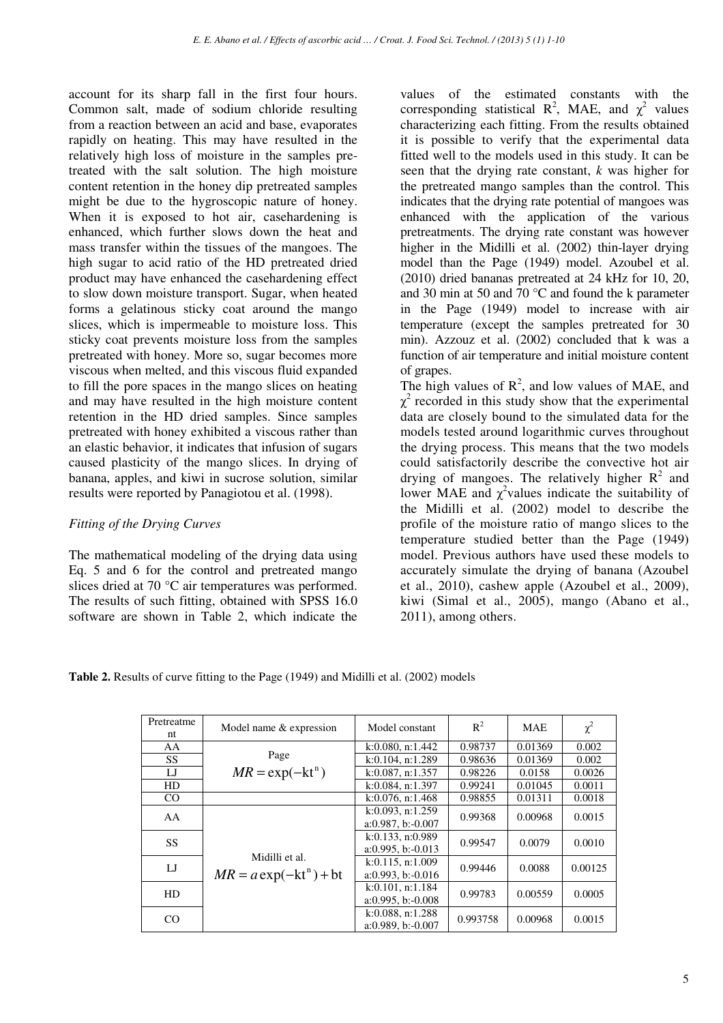account for its sharp fall in the first four hours. Common salt, made of sodium chloride resulting from a reaction between an acid and base, evaporates rapidly on heating. This may have resulted in the relatively high loss of moisture in the samples pretreated with the salt solution. The high moisture content retention in the honey dip pretreated samples might be due to the hygroscopic nature of honey. When it is exposed to hot air, casehardening is enhanced, which further slows down the heat and mass transfer within the tissues of the mangoes. The high sugar to acid ratio of the HD pretreated dried product may have enhanced the casehardening effect to slow down moisture transport. Sugar, when heated forms a gelatinous sticky coat around the mango slices, which is impermeable to moisture loss. This sticky coat prevents moisture loss from the samples pretreated with honey. More so, sugar becomes more viscous when melted, and this viscous fluid expanded to fill the pore spaces in the mango slices on heating and may have resulted in the high moisture content retention in the HD dried samples. Since samples pretreated with honey exhibited a viscous rather than an elastic behavior, it indicates that infusion of sugars caused plasticity of the mango slices. In drying of banana, apples, and kiwi in sucrose solution, similar results were reported by Panagiotou et al. (1998).

## *Fitting of the Drying Curves*

The mathematical modeling of the drying data using Eq. 5 and 6 for the control and pretreated mango slices dried at 70 °C air temperatures was performed. The results of such fitting, obtained with SPSS 16.0 software are shown in Table 2, which indicate the values of the estimated constants with the corresponding statistical  $\mathbb{R}^2$ , MAE, and  $\chi^2$  values characterizing each fitting. From the results obtained it is possible to verify that the experimental data fitted well to the models used in this study. It can be seen that the drying rate constant, *k* was higher for the pretreated mango samples than the control. This indicates that the drying rate potential of mangoes was enhanced with the application of the various pretreatments. The drying rate constant was however higher in the Midilli et al. (2002) thin-layer drying model than the Page (1949) model. Azoubel et al. (2010) dried bananas pretreated at 24 kHz for 10, 20, and 30 min at 50 and 70 °C and found the k parameter in the Page (1949) model to increase with air temperature (except the samples pretreated for 30 min). Azzouz et al. (2002) concluded that k was a function of air temperature and initial moisture content of grapes.

The high values of  $\mathbb{R}^2$ , and low values of MAE, and  $\chi^2$  recorded in this study show that the experimental data are closely bound to the simulated data for the models tested around logarithmic curves throughout the drying process. This means that the two models could satisfactorily describe the convective hot air drying of mangoes. The relatively higher  $R^2$  and lower MAE and  $\chi^2$  values indicate the suitability of the Midilli et al. (2002) model to describe the profile of the moisture ratio of mango slices to the temperature studied better than the Page (1949) model. Previous authors have used these models to accurately simulate the drying of banana (Azoubel et al., 2010), cashew apple (Azoubel et al., 2009), kiwi (Simal et al., 2005), mango (Abano et al., 2011), among others.

**Table 2.** Results of curve fitting to the Page (1949) and Midilli et al. (2002) models

| Pretreatme<br>nt | Model name & expression                     | Model constant                             | $R^2$    | <b>MAE</b> | $\chi^2$ |
|------------------|---------------------------------------------|--------------------------------------------|----------|------------|----------|
| AA               |                                             | k:0.080, n:1.442                           | 0.98737  | 0.01369    | 0.002    |
| <b>SS</b>        | Page                                        | $k:0.104$ , n:1.289                        | 0.98636  | 0.01369    | 0.002    |
| IJ               | $MR = \exp(-kt^n)$                          | $k:0.087$ , n:1.357                        | 0.98226  | 0.0158     | 0.0026   |
| HD               |                                             | $k:0.084$ , n:1.397                        | 0.99241  | 0.01045    | 0.0011   |
| CO               |                                             | k:0.076, n:1.468                           | 0.98855  | 0.01311    | 0.0018   |
| AA               | Midilli et al.<br>$MR = a \exp(-kt^n) + bt$ | $k:0.093$ , n:1.259<br>a:0.987, b:0.007    | 0.99368  | 0.00968    | 0.0015   |
| SS.              |                                             | $k:0.133$ , n:0.989<br>$a:0.995, b:-0.013$ | 0.99547  | 0.0079     | 0.0010   |
| $_{\rm LJ}$      |                                             | $k:0.115$ , n:1.009<br>a:0.993, b:0.016    | 0.99446  | 0.0088     | 0.00125  |
| HD               |                                             | k:0.101, n:1.184<br>a:0.995, b:0.008       | 0.99783  | 0.00559    | 0.0005   |
| CO               |                                             | $k:0.088$ , n:1.288<br>a:0.989, b:0.007    | 0.993758 | 0.00968    | 0.0015   |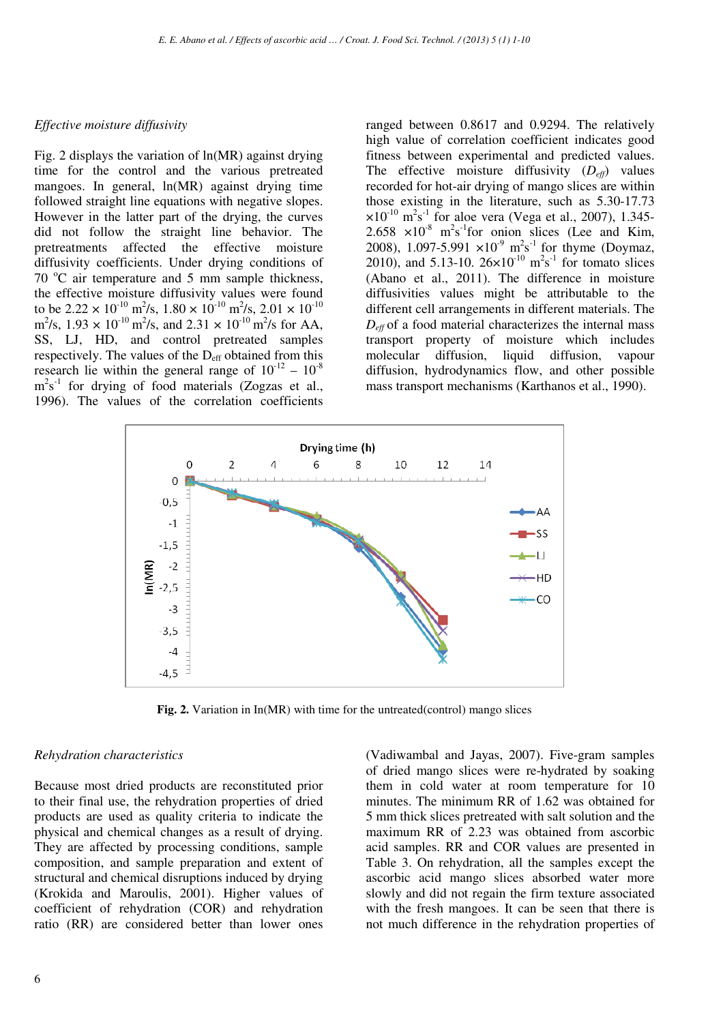#### *Effective moisture diffusivity*

Fig. 2 displays the variation of ln(MR) against drying time for the control and the various pretreated mangoes. In general,  $ln(MR)$  against drying time followed straight line equations with negative slopes. However in the latter part of the drying, the curves did not follow the straight line behavior. The pretreatments affected the effective moisture diffusivity coefficients. Under drying conditions of  $70^{\circ}$ C air temperature and 5 mm sample thickness, the effective moisture diffusivity values were found to be  $2.22 \times 10^{-10}$  m<sup>2</sup>/s,  $1.80 \times 10^{-10}$  m<sup>2</sup>/s,  $2.01 \times 10^{-10}$  $\text{m}^2/\text{s}$ , 1.93 × 10<sup>-10</sup> m<sup>2</sup>/s, and 2.31 × 10<sup>-10</sup> m<sup>2</sup>/s for AA, SS, LJ, HD, and control pretreated samples respectively. The values of the  $D_{\text{eff}}$  obtained from this research lie within the general range of  $10^{-12} - 10^{-8}$  $m<sup>2</sup>s<sup>-1</sup>$  for drying of food materials (Zogzas et al., 1996). The values of the correlation coefficients

ranged between 0.8617 and 0.9294. The relatively high value of correlation coefficient indicates good fitness between experimental and predicted values. The effective moisture diffusivity  $(D_{\text{eff}})$  values recorded for hot-air drying of mango slices are within those existing in the literature, such as 5.30-17.73  $\times 10^{-10}$  m<sup>2</sup>s<sup>-1</sup> for aloe vera (Vega et al., 2007), 1.345-2.658  $\times 10^{-8}$  m<sup>2</sup>s<sup>-1</sup>for onion slices (Lee and Kim, 2008), 1.097-5.991  $\times 10^{-9}$  m<sup>2</sup>s<sup>-1</sup> for thyme (Doymaz, 2010), and 5.13-10.  $26 \times 10^{-10}$  m<sup>2</sup>s<sup>-1</sup> for tomato slices (Abano et al., 2011). The difference in moisture diffusivities values might be attributable to the different cell arrangements in different materials. The *Deff* of a food material characterizes the internal mass transport property of moisture which includes molecular diffusion, liquid diffusion, vapour diffusion, hydrodynamics flow, and other possible mass transport mechanisms (Karthanos et al., 1990).



**Fig. 2.** Variation in In(MR) with time for the untreated(control) mango slices

#### *Rehydration characteristics*

Because most dried products are reconstituted prior to their final use, the rehydration properties of dried products are used as quality criteria to indicate the physical and chemical changes as a result of drying. They are affected by processing conditions, sample composition, and sample preparation and extent of structural and chemical disruptions induced by drying (Krokida and Maroulis, 2001). Higher values of coefficient of rehydration (COR) and rehydration ratio (RR) are considered better than lower ones

(Vadiwambal and Jayas, 2007). Five-gram samples of dried mango slices were re-hydrated by soaking them in cold water at room temperature for 10 minutes. The minimum RR of 1.62 was obtained for 5 mm thick slices pretreated with salt solution and the maximum RR of 2.23 was obtained from ascorbic acid samples. RR and COR values are presented in Table 3. On rehydration, all the samples except the ascorbic acid mango slices absorbed water more slowly and did not regain the firm texture associated with the fresh mangoes. It can be seen that there is not much difference in the rehydration properties of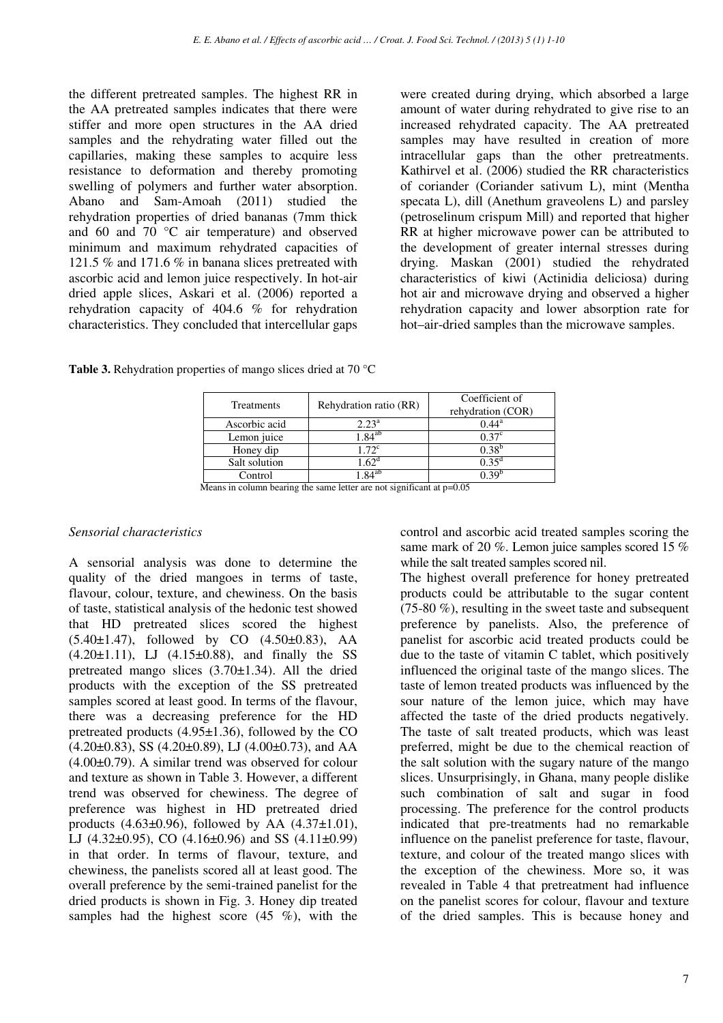the different pretreated samples. The highest RR in the AA pretreated samples indicates that there were stiffer and more open structures in the AA dried samples and the rehydrating water filled out the capillaries, making these samples to acquire less resistance to deformation and thereby promoting swelling of polymers and further water absorption. Abano and Sam-Amoah (2011) studied the rehydration properties of dried bananas (7mm thick and 60 and 70 °C air temperature) and observed minimum and maximum rehydrated capacities of 121.5 % and 171.6 % in banana slices pretreated with ascorbic acid and lemon juice respectively. In hot-air dried apple slices, Askari et al. (2006) reported a rehydration capacity of 404.6 % for rehydration characteristics. They concluded that intercellular gaps were created during drying, which absorbed a large amount of water during rehydrated to give rise to an increased rehydrated capacity. The AA pretreated samples may have resulted in creation of more intracellular gaps than the other pretreatments. Kathirvel et al. (2006) studied the RR characteristics of coriander (Coriander sativum L), mint (Mentha specata L), dill (Anethum graveolens L) and parsley (petroselinum crispum Mill) and reported that higher RR at higher microwave power can be attributed to the development of greater internal stresses during drying. Maskan (2001) studied the rehydrated characteristics of kiwi (Actinidia deliciosa) during hot air and microwave drying and observed a higher rehydration capacity and lower absorption rate for hot–air-dried samples than the microwave samples.

**Table 3.** Rehydration properties of mango slices dried at 70 °C

| Treatments    | Rehydration ratio (RR) | Coefficient of<br>rehydration (COR) |
|---------------|------------------------|-------------------------------------|
| Ascorbic acid | $2.23^{\rm a}$         | $0.44^{\rm a}$                      |
| Lemon juice   | $1.84^{ab}$            | $0.37^{\circ}$                      |
| Honey dip     | $1.72^c$               | $0.38^{b}$                          |
| Salt solution | $.62^{\circ}$          | $0.35^d$                            |
| Control       | $.84^{ab}$             | ገ 30'                               |

Means in column bearing the same letter are not significant at  $p=0.05$ 

## *Sensorial characteristics*

A sensorial analysis was done to determine the quality of the dried mangoes in terms of taste, flavour, colour, texture, and chewiness. On the basis of taste, statistical analysis of the hedonic test showed that HD pretreated slices scored the highest  $(5.40\pm1.47)$ , followed by CO  $(4.50\pm0.83)$ , AA  $(4.20 \pm 1.11)$ , LJ  $(4.15 \pm 0.88)$ , and finally the SS pretreated mango slices (3.70±1.34). All the dried products with the exception of the SS pretreated samples scored at least good. In terms of the flavour, there was a decreasing preference for the HD pretreated products (4.95±1.36), followed by the CO  $(4.20\pm0.83)$ , SS  $(4.20\pm0.89)$ , LJ  $(4.00\pm0.73)$ , and AA (4.00±0.79). A similar trend was observed for colour and texture as shown in Table 3. However, a different trend was observed for chewiness. The degree of preference was highest in HD pretreated dried products  $(4.63\pm0.96)$ , followed by AA  $(4.37\pm1.01)$ , LJ  $(4.32\pm0.95)$ , CO  $(4.16\pm0.96)$  and SS  $(4.11\pm0.99)$ in that order. In terms of flavour, texture, and chewiness, the panelists scored all at least good. The overall preference by the semi-trained panelist for the dried products is shown in Fig. 3. Honey dip treated samples had the highest score  $(45 \%)$ , with the control and ascorbic acid treated samples scoring the same mark of 20 %. Lemon juice samples scored 15 % while the salt treated samples scored nil.

The highest overall preference for honey pretreated products could be attributable to the sugar content (75-80 %), resulting in the sweet taste and subsequent preference by panelists. Also, the preference of panelist for ascorbic acid treated products could be due to the taste of vitamin C tablet, which positively influenced the original taste of the mango slices. The taste of lemon treated products was influenced by the sour nature of the lemon juice, which may have affected the taste of the dried products negatively. The taste of salt treated products, which was least preferred, might be due to the chemical reaction of the salt solution with the sugary nature of the mango slices. Unsurprisingly, in Ghana, many people dislike such combination of salt and sugar in food processing. The preference for the control products indicated that pre-treatments had no remarkable influence on the panelist preference for taste, flavour, texture, and colour of the treated mango slices with the exception of the chewiness. More so, it was revealed in Table 4 that pretreatment had influence on the panelist scores for colour, flavour and texture of the dried samples. This is because honey and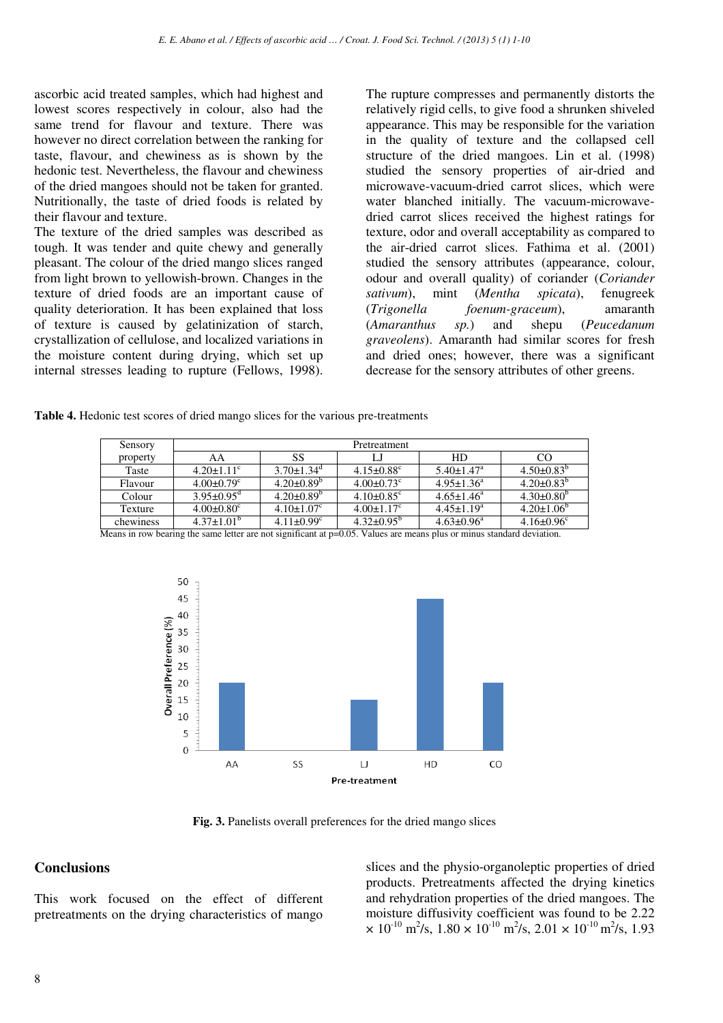ascorbic acid treated samples, which had highest and lowest scores respectively in colour, also had the same trend for flavour and texture. There was however no direct correlation between the ranking for taste, flavour, and chewiness as is shown by the hedonic test. Nevertheless, the flavour and chewiness of the dried mangoes should not be taken for granted. Nutritionally, the taste of dried foods is related by their flavour and texture.

The texture of the dried samples was described as tough. It was tender and quite chewy and generally pleasant. The colour of the dried mango slices ranged from light brown to yellowish-brown. Changes in the texture of dried foods are an important cause of quality deterioration. It has been explained that loss of texture is caused by gelatinization of starch, crystallization of cellulose, and localized variations in the moisture content during drying, which set up internal stresses leading to rupture (Fellows, 1998).

The rupture compresses and permanently distorts the relatively rigid cells, to give food a shrunken shiveled appearance. This may be responsible for the variation in the quality of texture and the collapsed cell structure of the dried mangoes. Lin et al. (1998) studied the sensory properties of air-dried and microwave-vacuum-dried carrot slices, which were water blanched initially. The vacuum-microwavedried carrot slices received the highest ratings for texture, odor and overall acceptability as compared to the air-dried carrot slices. Fathima et al. (2001) studied the sensory attributes (appearance, colour, odour and overall quality) of coriander (*Coriander sativum*), mint (*Mentha spicata*), fenugreek (*Trigonella foenum-graceum*), amaranth (*Amaranthus sp.*) and shepu (*Peucedanum graveolens*). Amaranth had similar scores for fresh and dried ones; however, there was a significant decrease for the sensory attributes of other greens.

**Table 4.** Hedonic test scores of dried mango slices for the various pre-treatments

| Sensory   | Pretreatment                 |                              |                              |                              |                              |
|-----------|------------------------------|------------------------------|------------------------------|------------------------------|------------------------------|
| property  | AA                           | SS                           | IJ                           | HD                           | <sub>CO</sub>                |
| Taste     | $4.20 \pm 1.11$ <sup>c</sup> | $3.70 \pm 1.34$ <sup>a</sup> | $4.15 \pm 0.88$ <sup>c</sup> | $5.40 \pm 1.47$ <sup>a</sup> | $4.50\pm0.83^{b}$            |
| Flavour   | $4.00 \pm 0.79$ <sup>c</sup> | $4.20\pm0.89^{\circ}$        | $4.00 \pm 0.73$ <sup>c</sup> | $4.95 \pm 1.36^a$            | $4.20\pm0.83^{b}$            |
| Colour    | $3.95 \pm 0.95$ <sup>d</sup> | $4.20\pm0.89^{\circ}$        | $4.10\pm0.85^{\circ}$        | $4.65 \pm 1.46^a$            | $4.30\pm0.80^{\circ}$        |
| Texture   | $4.00 \pm 0.80$ <sup>c</sup> | $4.10 \pm 1.07$ <sup>c</sup> | $4.00 \pm 1.17$ <sup>c</sup> | $4.45 \pm 1.19^a$            | $4.20 \pm 1.06^{\circ}$      |
| chewiness | $4.37 \pm 1.01^{\mathrm{b}}$ | $4.11 \pm 0.99$ <sup>c</sup> | $4.32\pm0.95^{\circ}$        | $4.63 \pm 0.96^a$            | $4.16 \pm 0.96$ <sup>c</sup> |

Means in row bearing the same letter are not significant at  $p=0.05$ . Values are means plus or minus standard deviation.



**Fig. 3.** Panelists overall preferences for the dried mango slices

### **Conclusions**

This work focused on the effect of different pretreatments on the drying characteristics of mango

slices and the physio-organoleptic properties of dried products. Pretreatments affected the drying kinetics and rehydration properties of the dried mangoes. The moisture diffusivity coefficient was found to be 2.22  $\times$  10<sup>-10</sup> m<sup>2</sup>/s, 1.80  $\times$  10<sup>-10</sup> m<sup>2</sup>/s, 2.01  $\times$  10<sup>-10</sup> m<sup>2</sup>/s, 1.93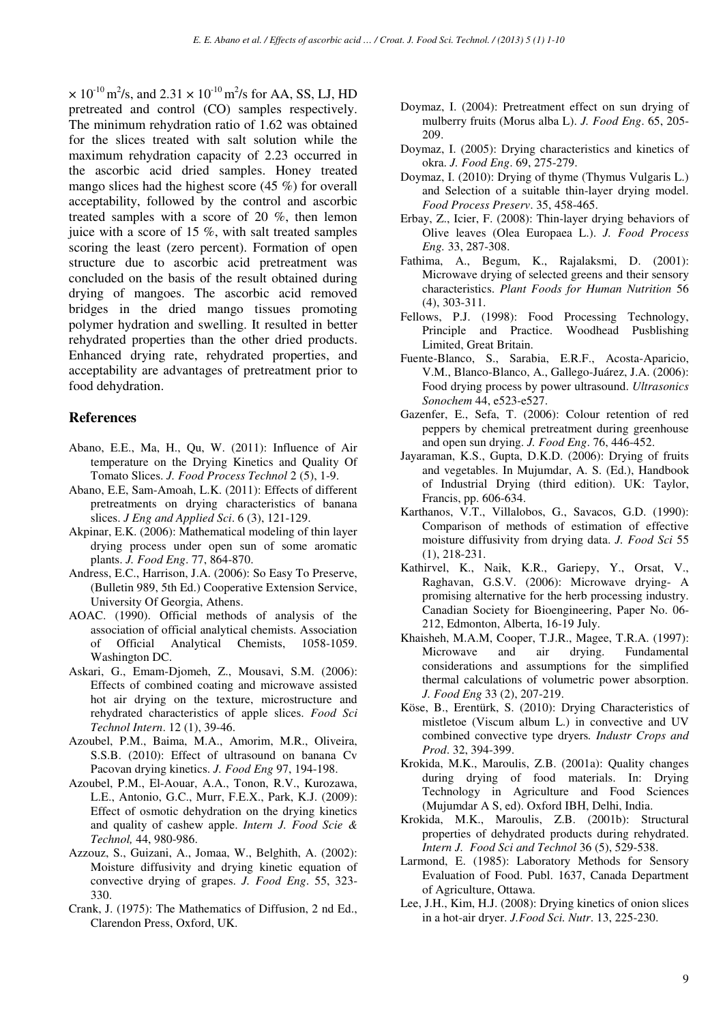$\times$  10<sup>-10</sup> m<sup>2</sup>/s, and 2.31  $\times$  10<sup>-10</sup> m<sup>2</sup>/s for AA, SS, LJ, HD pretreated and control (CO) samples respectively. The minimum rehydration ratio of 1.62 was obtained for the slices treated with salt solution while the maximum rehydration capacity of 2.23 occurred in the ascorbic acid dried samples. Honey treated mango slices had the highest score (45 %) for overall acceptability, followed by the control and ascorbic treated samples with a score of 20 %, then lemon juice with a score of 15 %, with salt treated samples scoring the least (zero percent). Formation of open structure due to ascorbic acid pretreatment was concluded on the basis of the result obtained during drying of mangoes. The ascorbic acid removed bridges in the dried mango tissues promoting polymer hydration and swelling. It resulted in better rehydrated properties than the other dried products. Enhanced drying rate, rehydrated properties, and acceptability are advantages of pretreatment prior to food dehydration.

## **References**

- Abano, E.E., Ma, H., Qu, W. (2011): Influence of Air temperature on the Drying Kinetics and Quality Of Tomato Slices. *J. Food Process Technol* 2 (5), 1-9.
- Abano, E.E, Sam-Amoah, L.K. (2011): Effects of different pretreatments on drying characteristics of banana slices. *J Eng and Applied Sci*. 6 (3), 121-129.
- Akpinar, E.K. (2006): Mathematical modeling of thin layer drying process under open sun of some aromatic plants. *J. Food Eng*. 77, 864-870.
- Andress, E.C., Harrison, J.A. (2006): So Easy To Preserve, (Bulletin 989, 5th Ed.) Cooperative Extension Service, University Of Georgia, Athens.
- AOAC. (1990). Official methods of analysis of the association of official analytical chemists. Association of Official Analytical Chemists, 1058-1059. Washington DC.
- Askari, G., Emam-Djomeh, Z., Mousavi, S.M. (2006): Effects of combined coating and microwave assisted hot air drying on the texture, microstructure and rehydrated characteristics of apple slices. *Food Sci Technol Intern*. 12 (1), 39-46.
- Azoubel, P.M., Baima, M.A., Amorim, M.R., Oliveira, S.S.B. (2010): Effect of ultrasound on banana Cv Pacovan drying kinetics. *J. Food Eng* 97, 194-198.
- Azoubel, P.M., El-Aouar, A.A., Tonon, R.V., Kurozawa, L.E., Antonio, G.C., Murr, F.E.X., Park, K.J. (2009): Effect of osmotic dehydration on the drying kinetics and quality of cashew apple. *Intern J. Food Scie & Technol,* 44, 980-986.
- Azzouz, S., Guizani, A., Jomaa, W., Belghith, A. (2002): Moisture diffusivity and drying kinetic equation of convective drying of grapes. *J. Food Eng*. 55, 323- 330.
- Crank, J. (1975): The Mathematics of Diffusion, 2 nd Ed., Clarendon Press, Oxford, UK.
- Doymaz, I. (2004): Pretreatment effect on sun drying of mulberry fruits (Morus alba L). *J. Food Eng*. 65, 205- 209.
- Doymaz, I. (2005): Drying characteristics and kinetics of okra. *J. Food Eng*. 69, 275-279.
- Doymaz, I. (2010): Drying of thyme (Thymus Vulgaris L.) and Selection of a suitable thin-layer drying model. *Food Process Preserv*. 35, 458-465.
- Erbay, Z., Icier, F. (2008): Thin-layer drying behaviors of Olive leaves (Olea Europaea L.). *J. Food Process Eng.* 33, 287-308.
- Fathima, A., Begum, K., Rajalaksmi, D. (2001): Microwave drying of selected greens and their sensory characteristics. *Plant Foods for Human Nutrition* 56 (4), 303-311.
- Fellows, P.J. (1998): Food Processing Technology, Principle and Practice. Woodhead Pusblishing Limited, Great Britain.
- Fuente-Blanco, S., Sarabia, E.R.F., Acosta-Aparicio, V.M., Blanco-Blanco, A., Gallego-Juárez, J.A. (2006): Food drying process by power ultrasound. *Ultrasonics Sonochem* 44, e523-e527.
- Gazenfer, E., Sefa, T. (2006): Colour retention of red peppers by chemical pretreatment during greenhouse and open sun drying. *J. Food Eng*. 76, 446-452.
- Jayaraman, K.S., Gupta, D.K.D. (2006): Drying of fruits and vegetables. In Mujumdar, A. S. (Ed.), Handbook of Industrial Drying (third edition). UK: Taylor, Francis, pp. 606-634.
- Karthanos, V.T., Villalobos, G., Savacos, G.D. (1990): Comparison of methods of estimation of effective moisture diffusivity from drying data. *J. Food Sci* 55 (1), 218-231.
- Kathirvel, K., Naik, K.R., Gariepy, Y., Orsat, V., Raghavan, G.S.V. (2006): Microwave drying- A promising alternative for the herb processing industry. Canadian Society for Bioengineering, Paper No. 06- 212, Edmonton, Alberta, 16-19 July.
- Khaisheh, M.A.M, Cooper, T.J.R., Magee, T.R.A. (1997): Microwave and air drying. Fundamental considerations and assumptions for the simplified thermal calculations of volumetric power absorption. *J. Food Eng* 33 (2), 207-219.
- Köse, B., Erentürk, S. (2010): Drying Characteristics of mistletoe (Viscum album L.) in convective and UV combined convective type dryers*. Industr Crops and Prod*. 32, 394-399.
- Krokida, M.K., Maroulis, Z.B. (2001a): Quality changes during drying of food materials. In: Drying Technology in Agriculture and Food Sciences (Mujumdar A S, ed). Oxford IBH, Delhi, India.
- Krokida, M.K., Maroulis, Z.B. (2001b): Structural properties of dehydrated products during rehydrated. *Intern J. Food Sci and Technol* 36 (5), 529-538.
- Larmond, E. (1985): Laboratory Methods for Sensory Evaluation of Food. Publ. 1637, Canada Department of Agriculture, Ottawa.
- Lee, J.H., Kim, H.J. (2008): Drying kinetics of onion slices in a hot-air dryer. *J.Food Sci. Nutr*. 13, 225-230.